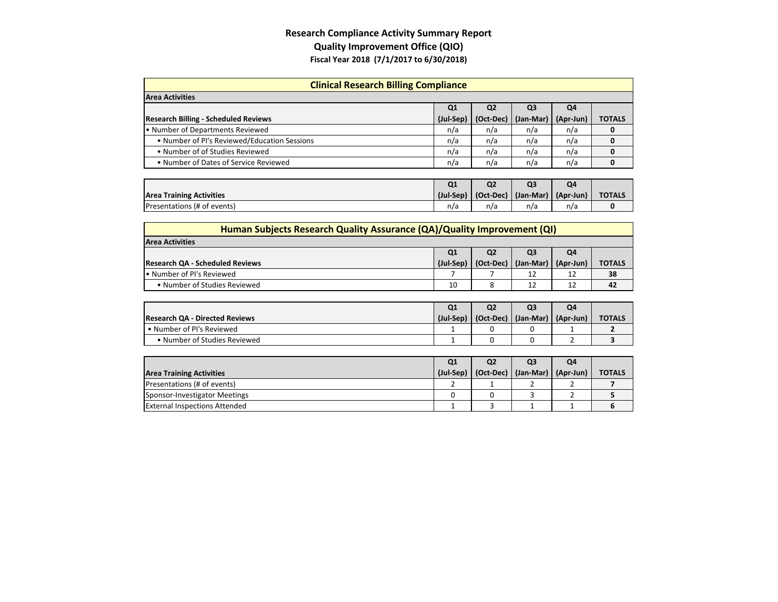## **Research Compliance Activity Summary Report Quality Improvement Office (QIO) Fiscal Year 2018 (7/1/2017 to 6/30/2018)**

| <b>Clinical Research Billing Compliance</b>  |           |                |                |           |               |  |  |  |
|----------------------------------------------|-----------|----------------|----------------|-----------|---------------|--|--|--|
| <b>Area Activities</b>                       |           |                |                |           |               |  |  |  |
|                                              | Q1        | Q <sub>2</sub> | Q <sub>3</sub> | Q4        |               |  |  |  |
| <b>Research Billing - Scheduled Reviews</b>  | (Jul-Sep) | (Oct-Dec)      | (Jan-Mar)      | (Apr-Jun) | <b>TOTALS</b> |  |  |  |
| • Number of Departments Reviewed             | n/a       | n/a            | n/a            | n/a       | 0             |  |  |  |
| . Number of PI's Reviewed/Education Sessions | n/a       | n/a            | n/a            | n/a       | 0             |  |  |  |
| • Number of of Studies Reviewed              | n/a       | n/a            | n/a            | n/a       | 0             |  |  |  |
| • Number of Dates of Service Reviewed        | n/a       | n/a            | n/a            | n/a       | 0             |  |  |  |
|                                              | Q1        | Q <sub>2</sub> | Q <sub>3</sub> | Q4        |               |  |  |  |
| <b>Area Training Activities</b>              | (Jul-Sep) | (Oct-Dec)      | (Jan-Mar)      | (Apr-Jun) | <b>TOTALS</b> |  |  |  |
| Presentations (# of events)                  | n/a       | n/a            | n/a            | n/a       | 0             |  |  |  |

| Human Subjects Research Quality Assurance (QA)/Quality Improvement (QI) |           |                |                         |    |               |  |
|-------------------------------------------------------------------------|-----------|----------------|-------------------------|----|---------------|--|
| <b>Area Activities</b>                                                  |           |                |                         |    |               |  |
|                                                                         | Q1        | Q <sub>2</sub> | Q3                      | Q4 |               |  |
| <b>Research QA - Scheduled Reviews</b>                                  | (Jul-Sep) | (Oct-Dec)      | $(Jan-Mar)$ $(Apr-Jun)$ |    | <b>TOTALS</b> |  |
| . Number of PI's Reviewed                                               |           |                |                         | 12 | 38            |  |
| • Number of Studies Reviewed                                            | 10        |                |                         | 12 | 42            |  |

|               | Q4 | Q3 | Q2                                              | Q1 |                                       |
|---------------|----|----|-------------------------------------------------|----|---------------------------------------|
| <b>TOTALS</b> |    |    | $(Iul-Sep)$ $[Oct-Dec]$ $(Ian-Mar)$ $(Apr-Jun)$ |    | <b>Research QA - Directed Reviews</b> |
|               |    |    |                                                 |    | • Number of PI's Reviewed             |
|               |    |    |                                                 |    | • Number of Studies Reviewed          |
|               |    |    |                                                 |    |                                       |

| Q <sub>1</sub> | Q <sub>2</sub> | Q <sub>3</sub> | Q4 |                                                 |
|----------------|----------------|----------------|----|-------------------------------------------------|
|                |                |                |    | <b>TOTALS</b>                                   |
|                |                |                |    |                                                 |
|                |                |                |    |                                                 |
|                |                |                |    |                                                 |
|                |                |                |    | $(Iul-Sep)   (Oct-Dec)   (Jan-Mar)   (Apr-Jun)$ |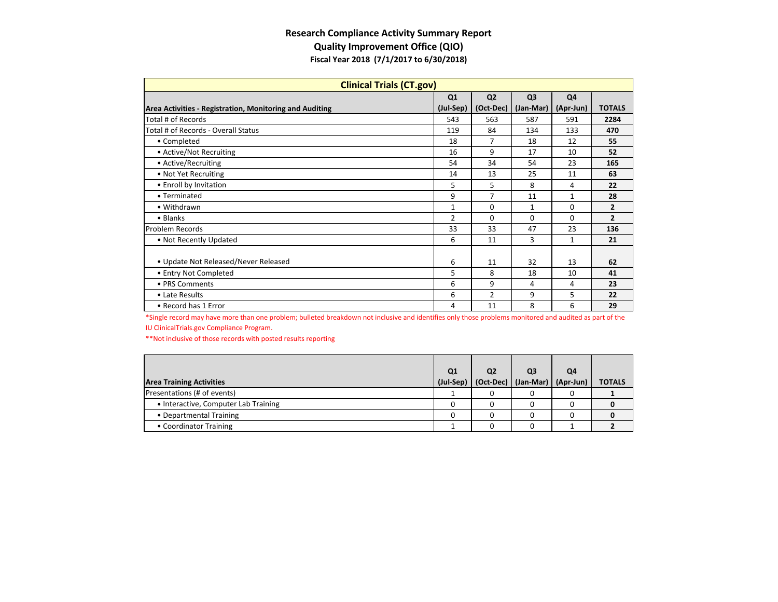## **Research Compliance Activity Summary Report Quality Improvement Office (QIO) Fiscal Year 2018 (7/1/2017 to 6/30/2018)**

| <b>Clinical Trials (CT.gov)</b>                         |                |                |                |                |                |  |
|---------------------------------------------------------|----------------|----------------|----------------|----------------|----------------|--|
|                                                         | Q <sub>1</sub> | Q <sub>2</sub> | Q <sub>3</sub> | Q <sub>4</sub> |                |  |
| Area Activities - Registration, Monitoring and Auditing | (Jul-Sep)      | (Oct-Dec)      | (Jan-Mar)      | (Apr-Jun)      | <b>TOTALS</b>  |  |
| Total # of Records                                      | 543            | 563            | 587            | 591            | 2284           |  |
| Total # of Records - Overall Status                     | 119            | 84             | 134            | 133            | 470            |  |
| • Completed                                             | 18             | 7              | 18             | 12             | 55             |  |
| • Active/Not Recruiting                                 | 16             | 9              | 17             | 10             | 52             |  |
| • Active/Recruiting                                     | 54             | 34             | 54             | 23             | 165            |  |
| • Not Yet Recruiting                                    | 14             | 13             | 25             | 11             | 63             |  |
| • Enroll by Invitation                                  | 5              | 5              | 8              | 4              | 22             |  |
| • Terminated                                            | 9              | 7              | 11             | 1              | 28             |  |
| • Withdrawn                                             | $\mathbf{1}$   | 0              | 1              | $\Omega$       | $\overline{2}$ |  |
| • Blanks                                                | $\overline{2}$ | $\Omega$       | $\Omega$       | $\Omega$       | $\overline{2}$ |  |
| Problem Records                                         | 33             | 33             | 47             | 23             | 136            |  |
| • Not Recently Updated                                  | 6              | 11             | 3              | 1              | 21             |  |
|                                                         |                |                |                |                |                |  |
| • Update Not Released/Never Released                    | 6              | 11             | 32             | 13             | 62             |  |
| • Entry Not Completed                                   | 5              | 8              | 18             | 10             | 41             |  |
| • PRS Comments                                          | 6              | 9              | 4              | 4              | 23             |  |
| • Late Results                                          | 6              | $\overline{2}$ | 9              | 5              | 22             |  |
| • Record has 1 Error                                    | 4              | 11             | 8              | 6              | 29             |  |

 \*Single record may have more than one problem; bulleted breakdown not inclusive and identifies only those problems monitored and audited as part of the IU [ClinicalTrials.gov](https://www.ClinicalTrials.gov) Compliance Program.

\*\*Not inclusive of those records with posted results reporting

|                                      | Q1        | Q <sub>2</sub> | Q <sub>3</sub>                    | Q4 |               |
|--------------------------------------|-----------|----------------|-----------------------------------|----|---------------|
| <b>Area Training Activities</b>      | (Jul-Sep) |                | (Oct-Dec)   (Jan-Mar)   (Apr-Jun) |    | <b>TOTALS</b> |
| Presentations (# of events)          |           |                |                                   |    |               |
| • Interactive, Computer Lab Training |           |                |                                   |    |               |
| • Departmental Training              |           |                |                                   |    |               |
| • Coordinator Training               |           |                |                                   |    |               |